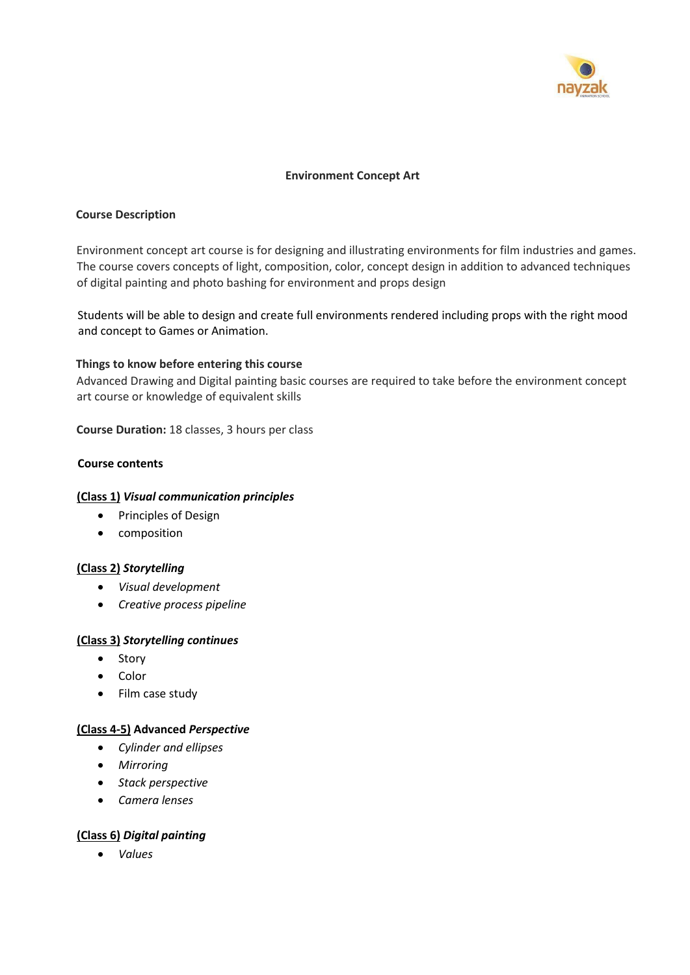

#### **Environment Concept Art**

#### **Course Description**

Environment concept art course is for designing and illustrating environments for film industries and games. The course covers concepts of light, composition, color, concept design in addition to advanced techniques of digital painting and photo bashing for environment and props design

Students will be able to design and create full environments rendered including props with the right mood and concept to Games or Animation.

#### **Things to know before entering this course**

Advanced Drawing and Digital painting basic courses are required to take before the environment concept art course or knowledge of equivalent skills

**Course Duration:** 18 classes, 3 hours per class

#### **Course contents**

#### **(Class 1)** *Visual communication principles*

- Principles of Design
- composition

## **(Class 2)** *Storytelling*

- *Visual development*
- *Creative process pipeline*

## **(Class 3)** *Storytelling continues*

- Story
- Color
- Film case study

## **(Class 4-5) Advanced** *Perspective*

- *Cylinder and ellipses*
- *Mirroring*
- *Stack perspective*
- *Camera lenses*

## **(Class 6)** *Digital painting*

• *Values*